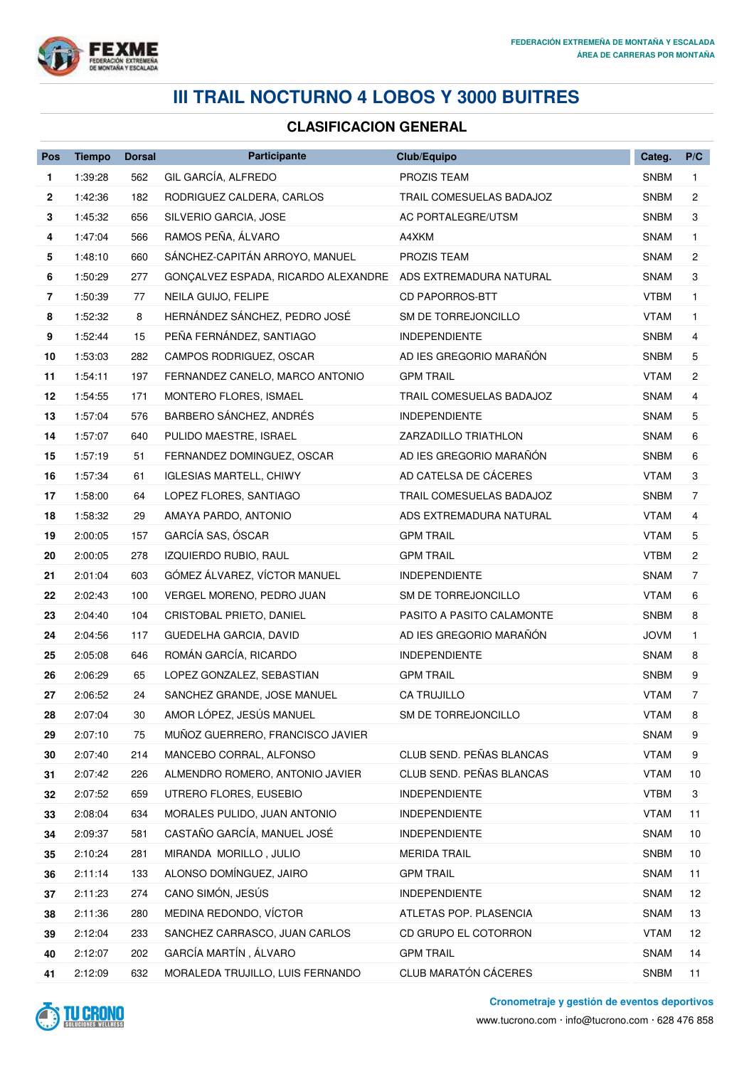

## **III TRAIL NOCTURNO 4 LOBOS Y 3000 BUITRES**

## **CLASIFICACION GENERAL**

| Pos            | <b>Tiempo</b> | <b>Dorsal</b> | <b>Participante</b>                 | Club/Equipo               | Categ.      | P/C            |
|----------------|---------------|---------------|-------------------------------------|---------------------------|-------------|----------------|
| 1              | 1:39:28       | 562           | GIL GARCÍA, ALFREDO                 | <b>PROZIS TEAM</b>        | <b>SNBM</b> | $\mathbf{1}$   |
| $\mathbf{2}$   | 1:42:36       | 182           | RODRIGUEZ CALDERA, CARLOS           | TRAIL COMESUELAS BADAJOZ  | <b>SNBM</b> | 2              |
| 3              | 1:45:32       | 656           | SILVERIO GARCIA, JOSE               | <b>AC PORTALEGRE/UTSM</b> | <b>SNBM</b> | 3              |
| 4              | 1:47:04       | 566           | RAMOS PEÑA, ÁLVARO                  | A4XKM                     | <b>SNAM</b> | $\mathbf{1}$   |
| 5              | 1:48:10       | 660           | SÁNCHEZ-CAPITÁN ARROYO, MANUEL      | PROZIS TEAM               | SNAM        | 2              |
| 6              | 1:50:29       | 277           | GONÇALVEZ ESPADA, RICARDO ALEXANDRE | ADS EXTREMADURA NATURAL   | SNAM        | 3              |
| $\overline{7}$ | 1:50:39       | 77            | NEILA GUIJO, FELIPE                 | <b>CD PAPORROS-BTT</b>    | VTBM        | $\mathbf{1}$   |
| 8              | 1:52:32       | 8             | HERNÁNDEZ SÁNCHEZ, PEDRO JOSÉ       | SM DE TORREJONCILLO       | <b>VTAM</b> | 1              |
| 9              | 1:52:44       | 15            | PEÑA FERNÁNDEZ, SANTIAGO            | <b>INDEPENDIENTE</b>      | <b>SNBM</b> | 4              |
| 10             | 1:53:03       | 282           | CAMPOS RODRIGUEZ, OSCAR             | AD IES GREGORIO MARAÑÓN   | <b>SNBM</b> | 5              |
| 11             | 1:54:11       | 197           | FERNANDEZ CANELO, MARCO ANTONIO     | <b>GPM TRAIL</b>          | VTAM        | 2              |
| 12             | 1:54:55       | 171           | MONTERO FLORES, ISMAEL              | TRAIL COMESUELAS BADAJOZ  | <b>SNAM</b> | 4              |
| 13             | 1:57:04       | 576           | BARBERO SÁNCHEZ, ANDRÉS             | <b>INDEPENDIENTE</b>      | SNAM        | 5              |
| 14             | 1:57:07       | 640           | PULIDO MAESTRE, ISRAEL              | ZARZADILLO TRIATHLON      | <b>SNAM</b> | 6              |
| 15             | 1:57:19       | 51            | FERNANDEZ DOMINGUEZ, OSCAR          | AD IES GREGORIO MARAÑÓN   | <b>SNBM</b> | 6              |
| 16             | 1:57:34       | 61            | <b>IGLESIAS MARTELL, CHIWY</b>      | AD CATELSA DE CÁCERES     | <b>VTAM</b> | 3              |
| 17             | 1:58:00       | 64            | LOPEZ FLORES, SANTIAGO              | TRAIL COMESUELAS BADAJOZ  | <b>SNBM</b> | $\overline{7}$ |
| 18             | 1:58:32       | 29            | AMAYA PARDO, ANTONIO                | ADS EXTREMADURA NATURAL   | VTAM        | 4              |
| 19             | 2:00:05       | 157           | GARCÍA SAS, ÓSCAR                   | <b>GPM TRAIL</b>          | <b>VTAM</b> | 5              |
| 20             | 2:00:05       | 278           | IZQUIERDO RUBIO, RAUL               | <b>GPM TRAIL</b>          | <b>VTBM</b> | 2              |
| 21             | 2:01:04       | 603           | GÓMEZ ÁLVAREZ, VÍCTOR MANUEL        | <b>INDEPENDIENTE</b>      | SNAM        | 7              |
| 22             | 2:02:43       | 100           | VERGEL MORENO, PEDRO JUAN           | SM DE TORREJONCILLO       | <b>VTAM</b> | 6              |
| 23             | 2:04:40       | 104           | CRISTOBAL PRIETO, DANIEL            | PASITO A PASITO CALAMONTE | <b>SNBM</b> | 8              |
| 24             | 2:04:56       | 117           | GUEDELHA GARCIA, DAVID              | AD IES GREGORIO MARAÑÓN   | <b>JOVM</b> | $\mathbf{1}$   |
| 25             | 2:05:08       | 646           | ROMÁN GARCÍA, RICARDO               | <b>INDEPENDIENTE</b>      | <b>SNAM</b> | 8              |
| 26             | 2:06:29       | 65            | LOPEZ GONZALEZ, SEBASTIAN           | <b>GPM TRAIL</b>          | <b>SNBM</b> | 9              |
| 27             | 2:06:52       | 24            | SANCHEZ GRANDE, JOSE MANUEL         | CA TRUJILLO               | VTAM        | 7              |
| 28             | 2:07:04       | 30            | AMOR LÓPEZ, JESÚS MANUEL            | SM DE TORREJONCILLO       | VTAM        | 8              |
| 29             | 2:07:10       | 75            | MUÑOZ GUERRERO, FRANCISCO JAVIER    |                           | SNAM        | 9              |
| 30             | 2:07:40       | 214           | MANCEBO CORRAL, ALFONSO             | CLUB SEND. PEÑAS BLANCAS  | <b>VTAM</b> | 9              |
| 31             | 2:07:42       | 226           | ALMENDRO ROMERO, ANTONIO JAVIER     | CLUB SEND. PEÑAS BLANCAS  | <b>VTAM</b> | 10             |
| 32             | 2:07:52       | 659           | UTRERO FLORES, EUSEBIO              | <b>INDEPENDIENTE</b>      | <b>VTBM</b> | 3              |
| 33             | 2:08:04       | 634           | MORALES PULIDO, JUAN ANTONIO        | <b>INDEPENDIENTE</b>      | <b>VTAM</b> | 11             |
| 34             | 2:09:37       | 581           | CASTAÑO GARCÍA, MANUEL JOSÉ         | <b>INDEPENDIENTE</b>      | <b>SNAM</b> | 10             |
| 35             | 2:10:24       | 281           | MIRANDA MORILLO, JULIO              | <b>MERIDA TRAIL</b>       | <b>SNBM</b> | 10             |
| 36             | 2:11:14       | 133           | ALONSO DOMÍNGUEZ, JAIRO             | <b>GPM TRAIL</b>          | SNAM        | 11             |
| 37             | 2:11:23       | 274           | CANO SIMÓN, JESÚS                   | <b>INDEPENDIENTE</b>      | <b>SNAM</b> | 12             |
| 38             | 2:11:36       | 280           | MEDINA REDONDO, VÍCTOR              | ATLETAS POP. PLASENCIA    | <b>SNAM</b> | 13             |
| 39             | 2:12:04       | 233           | SANCHEZ CARRASCO, JUAN CARLOS       | CD GRUPO EL COTORRON      | <b>VTAM</b> | 12             |
| 40             | 2:12:07       | 202           | GARCÍA MARTÍN, ÁLVARO               | <b>GPM TRAIL</b>          | <b>SNAM</b> | 14             |
| 41             | 2:12:09       | 632           | MORALEDA TRUJILLO, LUIS FERNANDO    | CLUB MARATÓN CÁCERES      | <b>SNBM</b> | 11             |



**Cronometraje y gestión de eventos deportivos**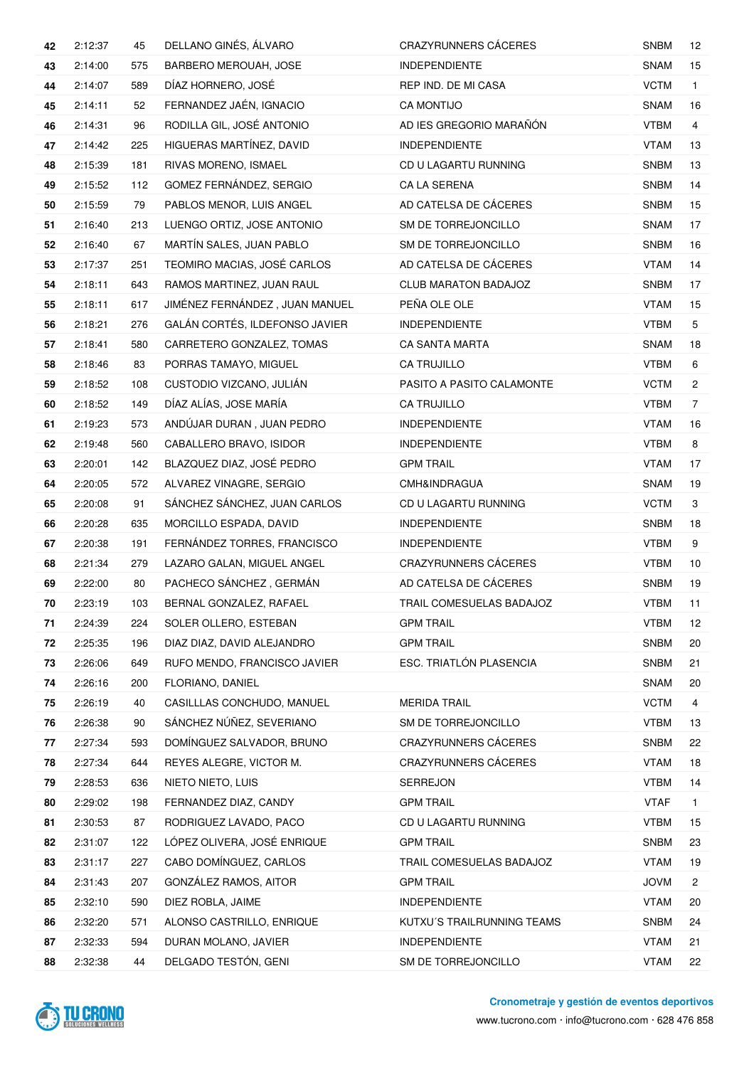| 42 | 2:12:37 | 45  | DELLANO GINÉS, ÁLVARO          | <b>CRAZYRUNNERS CÁCERES</b> | <b>SNBM</b> | 12             |
|----|---------|-----|--------------------------------|-----------------------------|-------------|----------------|
| 43 | 2:14:00 | 575 | BARBERO MEROUAH, JOSE          | <b>INDEPENDIENTE</b>        | <b>SNAM</b> | 15             |
| 44 | 2:14:07 | 589 | DÍAZ HORNERO, JOSÉ             | REP IND. DE MI CASA         | <b>VCTM</b> | $\mathbf{1}$   |
| 45 | 2:14:11 | 52  | FERNANDEZ JAÉN, IGNACIO        | <b>CA MONTIJO</b>           | <b>SNAM</b> | 16             |
| 46 | 2:14:31 | 96  | RODILLA GIL, JOSÉ ANTONIO      | AD IES GREGORIO MARAÑÓN     | <b>VTBM</b> | 4              |
| 47 | 2:14:42 | 225 | HIGUERAS MARTÍNEZ, DAVID       | <b>INDEPENDIENTE</b>        | <b>VTAM</b> | 13             |
| 48 | 2:15:39 | 181 | RIVAS MORENO, ISMAEL           | CD U LAGARTU RUNNING        | <b>SNBM</b> | 13             |
| 49 | 2:15:52 | 112 | GOMEZ FERNÁNDEZ, SERGIO        | CA LA SERENA                | <b>SNBM</b> | 14             |
| 50 | 2:15:59 | 79  | PABLOS MENOR, LUIS ANGEL       | AD CATELSA DE CÁCERES       | <b>SNBM</b> | 15             |
| 51 | 2:16:40 | 213 | LUENGO ORTIZ, JOSE ANTONIO     | SM DE TORREJONCILLO         | <b>SNAM</b> | 17             |
| 52 | 2:16:40 | 67  | MARTÍN SALES, JUAN PABLO       | SM DE TORREJONCILLO         | <b>SNBM</b> | 16             |
| 53 | 2:17:37 | 251 | TEOMIRO MACIAS, JOSÉ CARLOS    | AD CATELSA DE CÁCERES       | <b>VTAM</b> | 14             |
| 54 | 2:18:11 | 643 | RAMOS MARTINEZ, JUAN RAUL      | CLUB MARATON BADAJOZ        | <b>SNBM</b> | 17             |
| 55 | 2:18:11 | 617 | JIMÉNEZ FERNÁNDEZ, JUAN MANUEL | PEÑA OLE OLE                | VTAM        | 15             |
| 56 | 2:18:21 | 276 | GALÁN CORTÉS, ILDEFONSO JAVIER | <b>INDEPENDIENTE</b>        | <b>VTBM</b> | 5              |
| 57 | 2:18:41 | 580 | CARRETERO GONZALEZ, TOMAS      | <b>CA SANTA MARTA</b>       | <b>SNAM</b> | 18             |
| 58 | 2:18:46 | 83  | PORRAS TAMAYO, MIGUEL          | <b>CA TRUJILLO</b>          | <b>VTBM</b> | 6              |
| 59 | 2:18:52 | 108 | CUSTODIO VIZCANO, JULIÁN       | PASITO A PASITO CALAMONTE   | <b>VCTM</b> | 2              |
| 60 | 2:18:52 | 149 | DÍAZ ALÍAS, JOSE MARÍA         | <b>CA TRUJILLO</b>          | <b>VTBM</b> | $\overline{7}$ |
| 61 | 2:19:23 | 573 | ANDÚJAR DURAN, JUAN PEDRO      | <b>INDEPENDIENTE</b>        | VTAM        | 16             |
| 62 | 2:19:48 | 560 | CABALLERO BRAVO, ISIDOR        | <b>INDEPENDIENTE</b>        | <b>VTBM</b> | 8              |
| 63 | 2:20:01 | 142 | BLAZQUEZ DIAZ, JOSÉ PEDRO      | <b>GPM TRAIL</b>            | <b>VTAM</b> | 17             |
| 64 | 2:20:05 | 572 | ALVAREZ VINAGRE, SERGIO        | CMH&INDRAGUA                | <b>SNAM</b> | 19             |
| 65 | 2:20:08 | 91  | SÁNCHEZ SÁNCHEZ, JUAN CARLOS   | CD U LAGARTU RUNNING        | <b>VCTM</b> | 3              |
| 66 | 2:20:28 | 635 | MORCILLO ESPADA, DAVID         | <b>INDEPENDIENTE</b>        | <b>SNBM</b> | 18             |
| 67 | 2:20:38 | 191 | FERNÁNDEZ TORRES, FRANCISCO    | <b>INDEPENDIENTE</b>        | <b>VTBM</b> | 9              |
| 68 | 2:21:34 | 279 | LAZARO GALAN, MIGUEL ANGEL     | <b>CRAZYRUNNERS CÁCERES</b> | <b>VTBM</b> | 10             |
| 69 | 2:22:00 | 80  | PACHECO SÁNCHEZ, GERMÁN        | AD CATELSA DE CÁCERES       | <b>SNBM</b> | 19             |
| 70 | 2:23:19 | 103 | BERNAL GONZALEZ, RAFAEL        | TRAIL COMESUELAS BADAJOZ    | <b>VTBM</b> | 11             |
| 71 | 2:24:39 | 224 | SOLER OLLERO, ESTEBAN          | <b>GPM TRAIL</b>            | <b>VTBM</b> | 12             |
| 72 | 2:25:35 | 196 | DIAZ DIAZ, DAVID ALEJANDRO     | <b>GPM TRAIL</b>            | <b>SNBM</b> | 20             |
| 73 | 2:26:06 | 649 | RUFO MENDO, FRANCISCO JAVIER   | ESC. TRIATLÓN PLASENCIA     | <b>SNBM</b> | 21             |
| 74 | 2:26:16 | 200 | FLORIANO, DANIEL               |                             | <b>SNAM</b> | 20             |
| 75 | 2:26:19 | 40  | CASILLLAS CONCHUDO, MANUEL     | <b>MERIDA TRAIL</b>         | <b>VCTM</b> | 4              |
| 76 | 2:26:38 | 90  | SÁNCHEZ NÚÑEZ, SEVERIANO       | SM DE TORREJONCILLO         | <b>VTBM</b> | 13             |
| 77 | 2:27:34 | 593 | DOMÍNGUEZ SALVADOR, BRUNO      | CRAZYRUNNERS CÁCERES        | <b>SNBM</b> | 22             |
| 78 | 2:27:34 | 644 | REYES ALEGRE, VICTOR M.        | CRAZYRUNNERS CÁCERES        | <b>VTAM</b> | 18             |
| 79 | 2:28:53 | 636 | NIETO NIETO, LUIS              | <b>SERREJON</b>             | <b>VTBM</b> | 14             |
| 80 | 2:29:02 | 198 | FERNANDEZ DIAZ, CANDY          | <b>GPM TRAIL</b>            | <b>VTAF</b> | $\mathbf{1}$   |
| 81 | 2:30:53 | 87  | RODRIGUEZ LAVADO, PACO         | CD U LAGARTU RUNNING        | <b>VTBM</b> | 15             |
| 82 | 2:31:07 | 122 | LÓPEZ OLIVERA, JOSÉ ENRIQUE    | <b>GPM TRAIL</b>            | <b>SNBM</b> | 23             |
| 83 | 2:31:17 | 227 | CABO DOMÍNGUEZ, CARLOS         | TRAIL COMESUELAS BADAJOZ    | <b>VTAM</b> | 19             |
| 84 | 2:31:43 | 207 | GONZÁLEZ RAMOS, AITOR          | <b>GPM TRAIL</b>            | <b>JOVM</b> | $\overline{c}$ |
| 85 | 2:32:10 | 590 | DIEZ ROBLA, JAIME              | <b>INDEPENDIENTE</b>        | <b>VTAM</b> | 20             |
| 86 | 2:32:20 | 571 | ALONSO CASTRILLO, ENRIQUE      | KUTXU'S TRAILRUNNING TEAMS  | <b>SNBM</b> | 24             |
| 87 | 2:32:33 | 594 | DURAN MOLANO, JAVIER           | <b>INDEPENDIENTE</b>        | <b>VTAM</b> | 21             |
| 88 | 2:32:38 | 44  | DELGADO TESTÓN, GENI           | SM DE TORREJONCILLO         | <b>VTAM</b> | 22             |

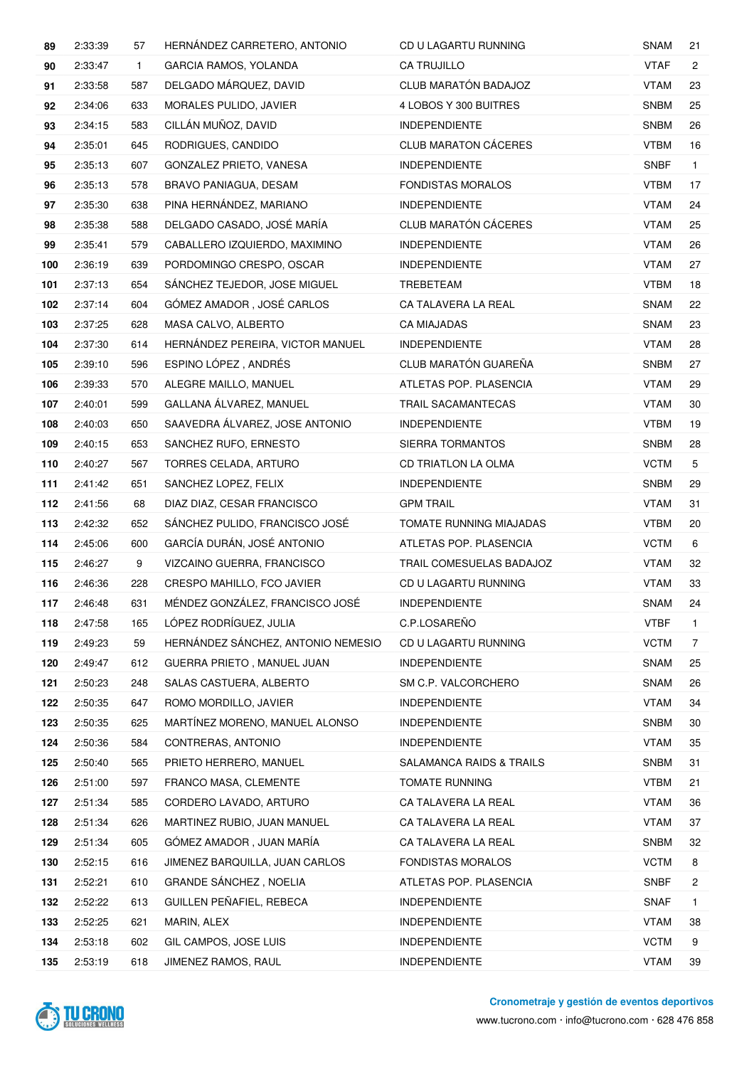| 89  | 2:33:39 | 57           | HERNÁNDEZ CARRETERO, ANTONIO       | CD U LAGARTU RUNNING        | <b>SNAM</b> | 21             |
|-----|---------|--------------|------------------------------------|-----------------------------|-------------|----------------|
| 90  | 2:33:47 | $\mathbf{1}$ | <b>GARCIA RAMOS, YOLANDA</b>       | <b>CA TRUJILLO</b>          | <b>VTAF</b> | $\mathbf{2}$   |
| 91  | 2:33:58 | 587          | DELGADO MÁRQUEZ, DAVID             | CLUB MARATÓN BADAJOZ        | <b>VTAM</b> | 23             |
| 92  | 2:34:06 | 633          | MORALES PULIDO, JAVIER             | 4 LOBOS Y 300 BUITRES       | <b>SNBM</b> | 25             |
| 93  | 2:34:15 | 583          | CILLÁN MUÑOZ, DAVID                | <b>INDEPENDIENTE</b>        | <b>SNBM</b> | 26             |
| 94  | 2:35:01 | 645          | RODRIGUES, CANDIDO                 | <b>CLUB MARATON CÁCERES</b> | <b>VTBM</b> | 16             |
| 95  | 2:35:13 | 607          | GONZALEZ PRIETO, VANESA            | <b>INDEPENDIENTE</b>        | <b>SNBF</b> | $\mathbf{1}$   |
| 96  | 2:35:13 | 578          | <b>BRAVO PANIAGUA, DESAM</b>       | <b>FONDISTAS MORALOS</b>    | <b>VTBM</b> | 17             |
| 97  | 2:35:30 | 638          | PINA HERNÁNDEZ, MARIANO            | <b>INDEPENDIENTE</b>        | <b>VTAM</b> | 24             |
| 98  | 2:35:38 | 588          | DELGADO CASADO, JOSÉ MARÍA         | CLUB MARATÓN CÁCERES        | <b>VTAM</b> | 25             |
| 99  | 2:35:41 | 579          | CABALLERO IZQUIERDO, MAXIMINO      | <b>INDEPENDIENTE</b>        | <b>VTAM</b> | 26             |
| 100 | 2:36:19 | 639          | PORDOMINGO CRESPO, OSCAR           | <b>INDEPENDIENTE</b>        | <b>VTAM</b> | 27             |
| 101 | 2:37:13 | 654          | SANCHEZ TEJEDOR, JOSE MIGUEL       | TREBETEAM                   | <b>VTBM</b> | 18             |
| 102 | 2:37:14 | 604          | GÓMEZ AMADOR, JOSÉ CARLOS          | CA TALAVERA LA REAL         | <b>SNAM</b> | 22             |
| 103 | 2:37:25 | 628          | MASA CALVO, ALBERTO                | <b>CA MIAJADAS</b>          | <b>SNAM</b> | 23             |
| 104 | 2:37:30 | 614          | HERNÁNDEZ PEREIRA, VICTOR MANUEL   | <b>INDEPENDIENTE</b>        | <b>VTAM</b> | 28             |
| 105 | 2:39:10 | 596          | ESPINO LÓPEZ, ANDRÉS               | CLUB MARATÓN GUAREÑA        | <b>SNBM</b> | 27             |
| 106 | 2:39:33 | 570          | ALEGRE MAILLO, MANUEL              | ATLETAS POP. PLASENCIA      | VTAM        | 29             |
| 107 | 2:40:01 | 599          | GALLANA ÁLVAREZ, MANUEL            | TRAIL SACAMANTECAS          | <b>VTAM</b> | 30             |
| 108 | 2:40:03 | 650          | SAAVEDRA ÁLVAREZ, JOSE ANTONIO     | <b>INDEPENDIENTE</b>        | <b>VTBM</b> | 19             |
| 109 | 2:40:15 | 653          | SANCHEZ RUFO, ERNESTO              | SIERRA TORMANTOS            | <b>SNBM</b> | 28             |
| 110 | 2:40:27 | 567          | TORRES CELADA, ARTURO              | <b>CD TRIATLON LA OLMA</b>  | <b>VCTM</b> | 5              |
| 111 | 2:41:42 | 651          | SANCHEZ LOPEZ, FELIX               | <b>INDEPENDIENTE</b>        | <b>SNBM</b> | 29             |
| 112 | 2:41:56 | 68           | DIAZ DIAZ, CESAR FRANCISCO         | <b>GPM TRAIL</b>            | <b>VTAM</b> | 31             |
| 113 | 2:42:32 | 652          | SÁNCHEZ PULIDO, FRANCISCO JOSÉ     | TOMATE RUNNING MIAJADAS     | <b>VTBM</b> | 20             |
| 114 | 2:45:06 | 600          | GARCÍA DURÁN, JOSÉ ANTONIO         | ATLETAS POP. PLASENCIA      | <b>VCTM</b> | 6              |
| 115 | 2:46:27 | 9            | VIZCAINO GUERRA, FRANCISCO         | TRAIL COMESUELAS BADAJOZ    | VTAM        | 32             |
| 116 | 2:46:36 | 228          | CRESPO MAHILLO, FCO JAVIER         | CD U LAGARTU RUNNING        | <b>VTAM</b> | 33             |
| 117 | 2:46:48 | 631          | MÉNDEZ GONZÁLEZ, FRANCISCO JOSÉ    | <b>INDEPENDIENTE</b>        | SNAM        | 24             |
| 118 | 2:47:58 | 165          | LÓPEZ RODRÍGUEZ, JULIA             | C.P.LOSAREÑO                | <b>VTBF</b> | $\mathbf{1}$   |
| 119 | 2:49:23 | 59           | HERNÁNDEZ SÁNCHEZ, ANTONIO NEMESIO | CD U LAGARTU RUNNING        | <b>VCTM</b> | $\overline{7}$ |
| 120 | 2:49:47 | 612          | GUERRA PRIETO, MANUEL JUAN         | <b>INDEPENDIENTE</b>        | <b>SNAM</b> | 25             |
| 121 | 2:50:23 | 248          | SALAS CASTUERA, ALBERTO            | SM C.P. VALCORCHERO         | <b>SNAM</b> | 26             |
| 122 | 2:50:35 | 647          | ROMO MORDILLO, JAVIER              | INDEPENDIENTE               | <b>VTAM</b> | 34             |
| 123 | 2:50:35 | 625          | MARTÍNEZ MORENO, MANUEL ALONSO     | <b>INDEPENDIENTE</b>        | <b>SNBM</b> | 30             |
| 124 | 2:50:36 | 584          | CONTRERAS, ANTONIO                 | <b>INDEPENDIENTE</b>        | <b>VTAM</b> | 35             |
| 125 | 2:50:40 | 565          | PRIETO HERRERO, MANUEL             | SALAMANCA RAIDS & TRAILS    | <b>SNBM</b> | 31             |
| 126 | 2:51:00 | 597          | FRANCO MASA, CLEMENTE              | <b>TOMATE RUNNING</b>       | <b>VTBM</b> | 21             |
| 127 | 2:51:34 | 585          | CORDERO LAVADO, ARTURO             | CA TALAVERA LA REAL         | <b>VTAM</b> | 36             |
| 128 | 2:51:34 | 626          | MARTINEZ RUBIO, JUAN MANUEL        | CA TALAVERA LA REAL         | <b>VTAM</b> | 37             |
| 129 | 2:51:34 | 605          | GÓMEZ AMADOR, JUAN MARÍA           | CA TALAVERA LA REAL         | <b>SNBM</b> | 32             |
| 130 | 2:52:15 | 616          | JIMENEZ BARQUILLA, JUAN CARLOS     | <b>FONDISTAS MORALOS</b>    | <b>VCTM</b> | 8              |
| 131 | 2:52:21 | 610          | GRANDE SÁNCHEZ, NOELIA             | ATLETAS POP. PLASENCIA      | <b>SNBF</b> | $\overline{c}$ |
| 132 | 2:52:22 | 613          | GUILLEN PEÑAFIEL, REBECA           | <b>INDEPENDIENTE</b>        | <b>SNAF</b> | $\mathbf{1}$   |
| 133 | 2:52:25 | 621          | MARIN, ALEX                        | <b>INDEPENDIENTE</b>        | <b>VTAM</b> | 38             |
| 134 | 2:53:18 | 602          | GIL CAMPOS, JOSE LUIS              | <b>INDEPENDIENTE</b>        | <b>VCTM</b> | 9              |
| 135 | 2:53:19 | 618          | JIMENEZ RAMOS, RAUL                | INDEPENDIENTE               | <b>VTAM</b> | 39             |

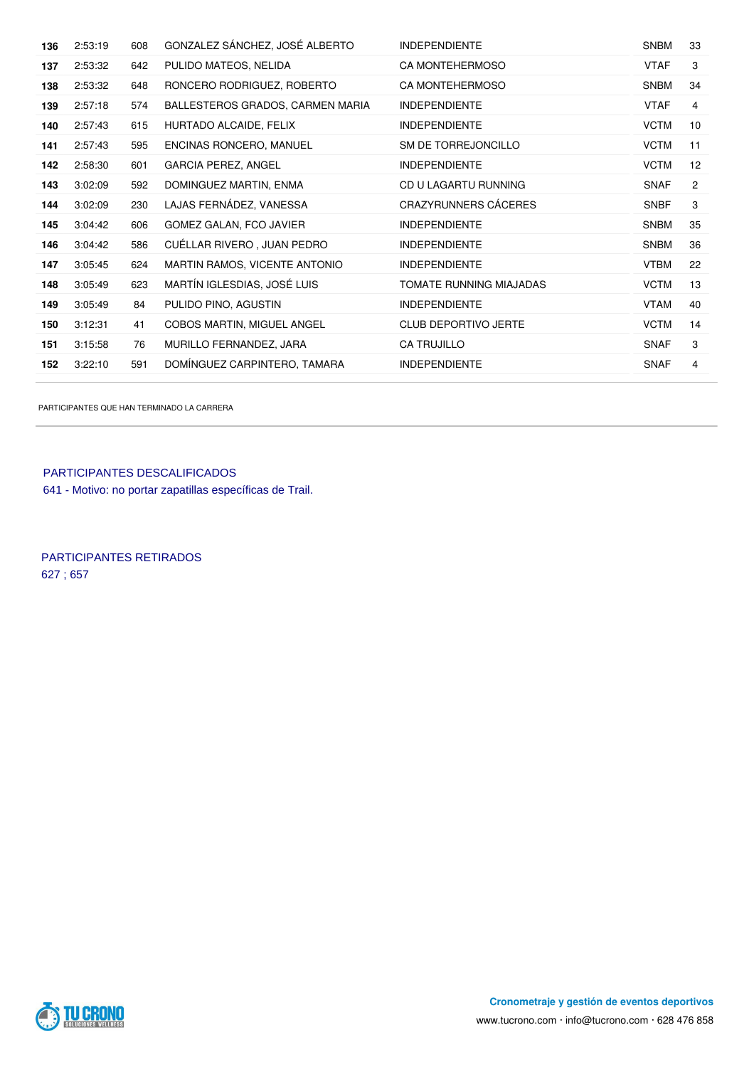| 136 | 2:53:19 | 608 | GONZALEZ SÁNCHEZ, JOSÉ ALBERTO   | <b>INDEPENDIENTE</b>        | <b>SNBM</b> | 33             |
|-----|---------|-----|----------------------------------|-----------------------------|-------------|----------------|
| 137 | 2:53:32 | 642 | PULIDO MATEOS, NELIDA            | <b>CA MONTEHERMOSO</b>      | <b>VTAF</b> | 3              |
| 138 | 2:53:32 | 648 | RONCERO RODRIGUEZ, ROBERTO       | CA MONTEHERMOSO             | <b>SNBM</b> | 34             |
| 139 | 2:57:18 | 574 | BALLESTEROS GRADOS, CARMEN MARIA | <b>INDEPENDIENTE</b>        | <b>VTAF</b> | 4              |
| 140 | 2:57:43 | 615 | HURTADO ALCAIDE, FELIX           | <b>INDEPENDIENTE</b>        | <b>VCTM</b> | 10             |
| 141 | 2:57:43 | 595 | ENCINAS RONCERO, MANUEL          | SM DE TORREJONCILLO         | <b>VCTM</b> | 11             |
| 142 | 2:58:30 | 601 | <b>GARCIA PEREZ, ANGEL</b>       | <b>INDEPENDIENTE</b>        | <b>VCTM</b> | 12             |
| 143 | 3:02:09 | 592 | DOMINGUEZ MARTIN, ENMA           | CD U LAGARTU RUNNING        | <b>SNAF</b> | $\overline{c}$ |
| 144 | 3:02:09 | 230 | LAJAS FERNÁDEZ, VANESSA          | <b>CRAZYRUNNERS CÁCERES</b> | <b>SNBF</b> | 3              |
| 145 | 3:04:42 | 606 | GOMEZ GALAN, FCO JAVIER          | <b>INDEPENDIENTE</b>        | <b>SNBM</b> | 35             |
| 146 | 3:04:42 | 586 | CUÉLLAR RIVERO, JUAN PEDRO       | <b>INDEPENDIENTE</b>        | <b>SNBM</b> | 36             |
| 147 | 3:05:45 | 624 | MARTIN RAMOS, VICENTE ANTONIO    | <b>INDEPENDIENTE</b>        | <b>VTBM</b> | 22             |
| 148 | 3:05:49 | 623 | MARTÍN IGLESDIAS, JOSÉ LUIS      | TOMATE RUNNING MIAJADAS     | <b>VCTM</b> | 13             |
| 149 | 3:05:49 | 84  | PULIDO PINO, AGUSTIN             | <b>INDEPENDIENTE</b>        | <b>VTAM</b> | 40             |
| 150 | 3:12:31 | 41  | COBOS MARTIN, MIGUEL ANGEL       | CLUB DEPORTIVO JERTE        | <b>VCTM</b> | 14             |
| 151 | 3:15:58 | 76  | MURILLO FERNANDEZ, JARA          | CA TRUJILLO                 | <b>SNAF</b> | 3              |
| 152 | 3:22:10 | 591 | DOMINGUEZ CARPINTERO, TAMARA     | <b>INDEPENDIENTE</b>        | <b>SNAF</b> | 4              |
|     |         |     |                                  |                             |             |                |

PARTICIPANTES QUE HAN TERMINADO LA CARRERA

PARTICIPANTES DESCALIFICADOS 641 - Motivo: no portar zapatillas específicas de Trail.

PARTICIPANTES RETIRADOS 627 ; 657

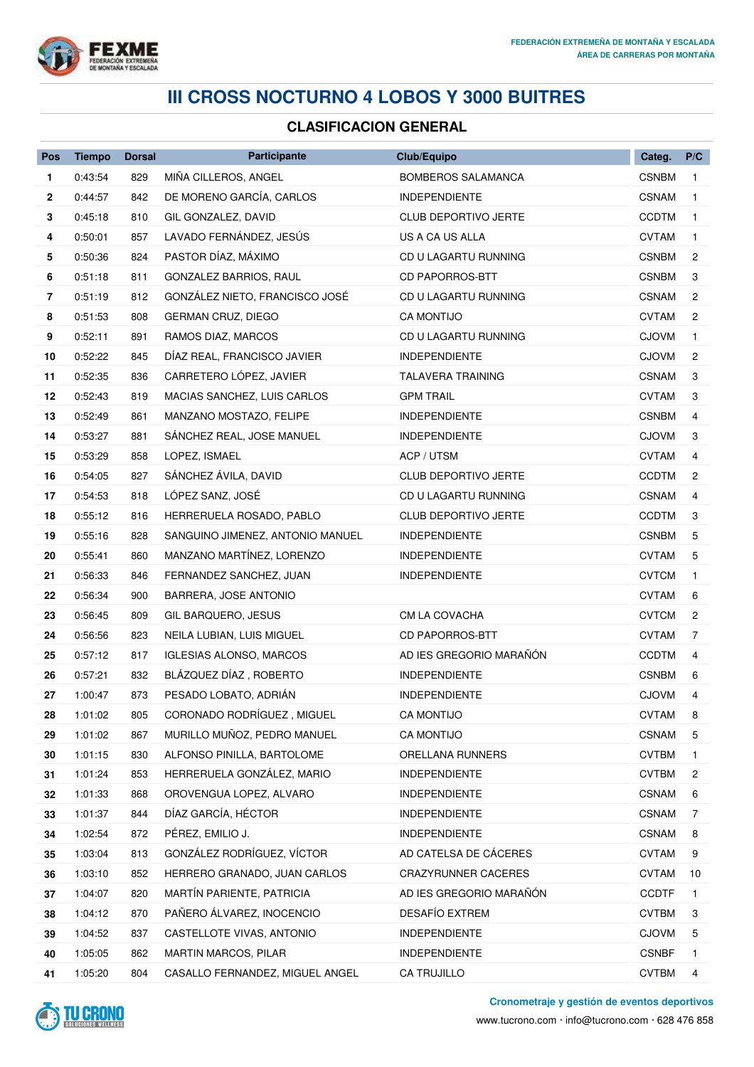

## **III CROSS NOCTURNO 4 LOBOS Y 3000 BUITRES**

## **CLASIFICACION GENERAL**

| Pos            | <b>Tiempo</b> | <b>Dorsal</b> | Participante                     | Club/Equipo                 | Categ.       | P/C            |
|----------------|---------------|---------------|----------------------------------|-----------------------------|--------------|----------------|
| 1              | 0:43:54       | 829           | MIÑA CILLEROS, ANGEL             | <b>BOMBEROS SALAMANCA</b>   | <b>CSNBM</b> | $\mathbf{1}$   |
| $\mathbf{2}$   | 0:44:57       | 842           | DE MORENO GARCÍA, CARLOS         | <b>INDEPENDIENTE</b>        | <b>CSNAM</b> | $\mathbf{1}$   |
| 3              | 0:45:18       | 810           | GIL GONZALEZ, DAVID              | <b>CLUB DEPORTIVO JERTE</b> | <b>CCDTM</b> | $\mathbf{1}$   |
| 4              | 0:50:01       | 857           | LAVADO FERNÁNDEZ, JESÚS          | US A CA US ALLA             | <b>CVTAM</b> | 1              |
| 5              | 0:50:36       | 824           | PASTOR DÍAZ, MÁXIMO              | CD U LAGARTU RUNNING        | <b>CSNBM</b> | 2              |
| 6              | 0:51:18       | 811           | GONZALEZ BARRIOS, RAUL           | <b>CD PAPORROS-BTT</b>      | <b>CSNBM</b> | 3              |
| $\overline{7}$ | 0:51:19       | 812           | GONZÁLEZ NIETO, FRANCISCO JOSÉ   | CD U LAGARTU RUNNING        | <b>CSNAM</b> | 2              |
| 8              | 0:51:53       | 808           | <b>GERMAN CRUZ, DIEGO</b>        | <b>CA MONTIJO</b>           | <b>CVTAM</b> | $\mathbf{2}$   |
| 9              | 0:52:11       | 891           | RAMOS DIAZ, MARCOS               | CD U LAGARTU RUNNING        | <b>CJOVM</b> | 1              |
| 10             | 0:52:22       | 845           | DÍAZ REAL, FRANCISCO JAVIER      | <b>INDEPENDIENTE</b>        | <b>CJOVM</b> | 2              |
| 11             | 0:52:35       | 836           | CARRETERO LÓPEZ, JAVIER          | <b>TALAVERA TRAINING</b>    | <b>CSNAM</b> | 3              |
| 12             | 0:52:43       | 819           | MACIAS SANCHEZ, LUIS CARLOS      | <b>GPM TRAIL</b>            | <b>CVTAM</b> | 3              |
| 13             | 0:52:49       | 861           | MANZANO MOSTAZO, FELIPE          | <b>INDEPENDIENTE</b>        | <b>CSNBM</b> | 4              |
| 14             | 0:53:27       | 881           | SÁNCHEZ REAL, JOSE MANUEL        | <b>INDEPENDIENTE</b>        | <b>CJOVM</b> | 3              |
| 15             | 0:53:29       | 858           | LOPEZ, ISMAEL                    | ACP / UTSM                  | <b>CVTAM</b> | 4              |
| 16             | 0:54:05       | 827           | SÁNCHEZ ÁVILA, DAVID             | CLUB DEPORTIVO JERTE        | <b>CCDTM</b> | 2              |
| 17             | 0:54:53       | 818           | LÓPEZ SANZ, JOSÉ                 | CD U LAGARTU RUNNING        | <b>CSNAM</b> | 4              |
| 18             | 0:55:12       | 816           | HERRERUELA ROSADO, PABLO         | <b>CLUB DEPORTIVO JERTE</b> | <b>CCDTM</b> | 3              |
| 19             | 0:55:16       | 828           | SANGUINO JIMENEZ, ANTONIO MANUEL | <b>INDEPENDIENTE</b>        | <b>CSNBM</b> | 5              |
| 20             | 0:55:41       | 860           | MANZANO MARTÍNEZ, LORENZO        | <b>INDEPENDIENTE</b>        | <b>CVTAM</b> | 5              |
| 21             | 0:56:33       | 846           | FERNANDEZ SANCHEZ, JUAN          | <b>INDEPENDIENTE</b>        | <b>CVTCM</b> | $\mathbf{1}$   |
| 22             | 0:56:34       | 900           | BARRERA, JOSE ANTONIO            |                             | <b>CVTAM</b> | 6              |
| 23             | 0:56:45       | 809           | GIL BARQUERO, JESUS              | CM LA COVACHA               | <b>CVTCM</b> | 2              |
| 24             | 0:56:56       | 823           | NEILA LUBIAN, LUIS MIGUEL        | <b>CD PAPORROS-BTT</b>      | <b>CVTAM</b> | $\overline{7}$ |
| 25             | 0:57:12       | 817           | <b>IGLESIAS ALONSO, MARCOS</b>   | AD IES GREGORIO MARAÑÓN     | <b>CCDTM</b> | 4              |
| 26             | 0:57:21       | 832           | BLÁZQUEZ DÍAZ, ROBERTO           | <b>INDEPENDIENTE</b>        | <b>CSNBM</b> | 6              |
| 27             | 1:00:47       | 873           | PESADO LOBATO, ADRIÁN            | <b>INDEPENDIENTE</b>        | <b>CJOVM</b> | 4              |
| 28             | 1:01:02       | 805           | CORONADO RODRÍGUEZ, MIGUEL       | CA MONTIJO                  | <b>CVTAM</b> |                |
| 29             | 1:01:02       | 867           | MURILLO MUÑOZ, PEDRO MANUEL      | <b>CA MONTIJO</b>           | <b>CSNAM</b> | 5              |
| 30             | 1:01:15       | 830           | ALFONSO PINILLA, BARTOLOME       | ORELLANA RUNNERS            | <b>CVTBM</b> | 1              |
| 31             | 1:01:24       | 853           | HERRERUELA GONZÁLEZ, MARIO       | <b>INDEPENDIENTE</b>        | <b>CVTBM</b> | 2              |
| 32             | 1:01:33       | 868           | OROVENGUA LOPEZ, ALVARO          | <b>INDEPENDIENTE</b>        | <b>CSNAM</b> | 6              |
| 33             | 1:01:37       | 844           | DÍAZ GARCÍA, HÉCTOR              | <b>INDEPENDIENTE</b>        | <b>CSNAM</b> | 7              |
| 34             | 1:02:54       | 872           | PÉREZ, EMILIO J.                 | <b>INDEPENDIENTE</b>        | <b>CSNAM</b> | 8              |
| 35             | 1:03:04       | 813           | GONZÁLEZ RODRÍGUEZ, VÍCTOR       | AD CATELSA DE CÁCERES       | <b>CVTAM</b> | 9              |
| 36             | 1:03:10       | 852           | HERRERO GRANADO, JUAN CARLOS     | <b>CRAZYRUNNER CACERES</b>  | <b>CVTAM</b> | 10             |
| 37             | 1:04:07       | 820           | MARTÍN PARIENTE, PATRICIA        | AD IES GREGORIO MARAÑÓN     | <b>CCDTF</b> | 1              |
| 38             | 1:04:12       | 870           | PAÑERO ÁLVAREZ, INOCENCIO        | DESAFÍO EXTREM              | <b>CVTBM</b> | 3              |
| 39             | 1:04:52       | 837           | CASTELLOTE VIVAS, ANTONIO        | <b>INDEPENDIENTE</b>        | <b>CJOVM</b> | 5              |
| 40             | 1:05:05       | 862           | MARTIN MARCOS, PILAR             | <b>INDEPENDIENTE</b>        | <b>CSNBF</b> | $\mathbf{1}$   |
| 41             | 1:05:20       | 804           | CASALLO FERNANDEZ, MIGUEL ANGEL  | CA TRUJILLO                 | <b>CVTBM</b> | 4              |



**Cronometraje y gestión de eventos deportivos**